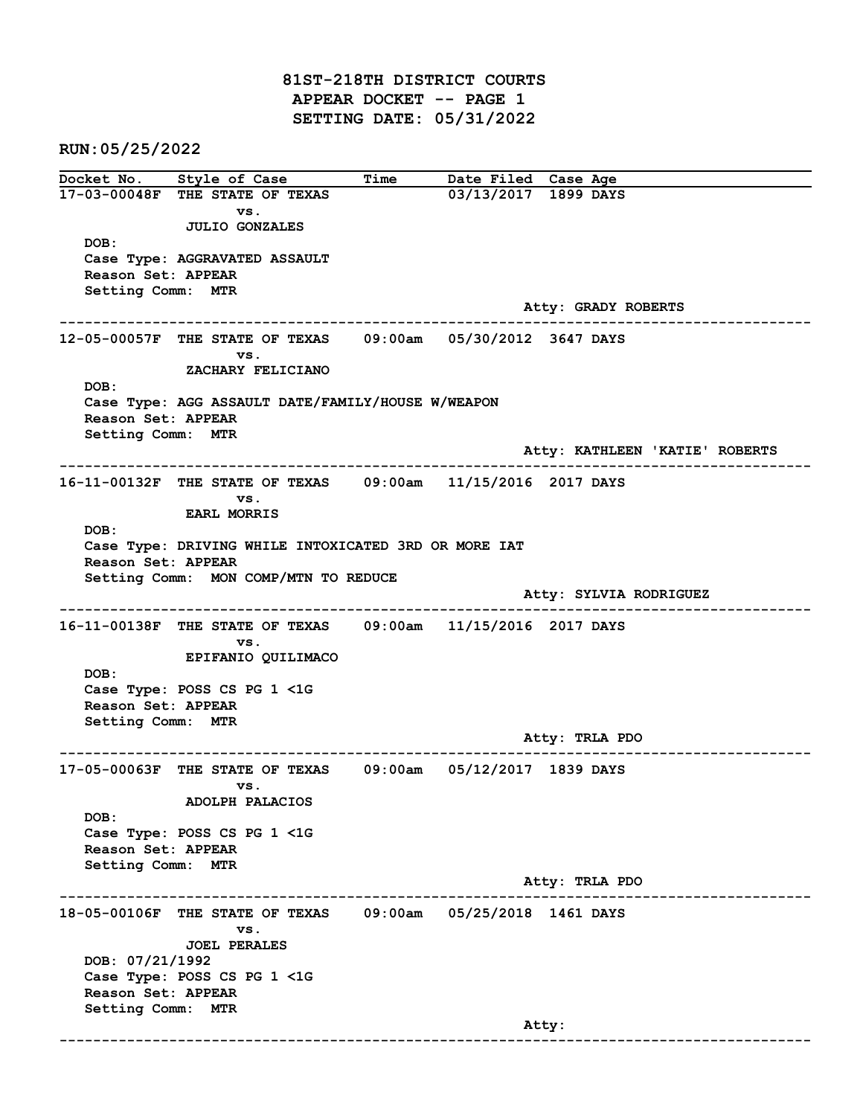81ST-218TH DISTRICT COURTS APPEAR DOCKET -- PAGE 1 SETTING DATE: 05/31/2022

RUN:05/25/2022

Docket No. Style of Case Time Date Filed Case Age 17-03-00048F THE STATE OF TEXAS 03/13/2017 1899 DAYS vs. JULIO GONZALES DOB: Case Type: AGGRAVATED ASSAULT Reason Set: APPEAR Setting Comm: MTR Atty: GRADY ROBERTS ------------------------------------------------------------------------------------------------------------------------ 12-05-00057F THE STATE OF TEXAS 09:00am 05/30/2012 3647 DAYS vs. ZACHARY FELICIANO DOB: Case Type: AGG ASSAULT DATE/FAMILY/HOUSE W/WEAPON Reason Set: APPEAR Setting Comm: MTR Atty: KATHLEEN 'KATIE' ROBERTS ------------------------------------------------------------------------------------------------------------------------ 16-11-00132F THE STATE OF TEXAS 09:00am 11/15/2016 2017 DAYS vs. EARL MORRIS DOB: Case Type: DRIVING WHILE INTOXICATED 3RD OR MORE IAT Reason Set: APPEAR Setting Comm: MON COMP/MTN TO REDUCE Atty: SYLVIA RODRIGUEZ ------------------------------------------------------------------------------------------------------------------------ 16-11-00138F THE STATE OF TEXAS 09:00am 11/15/2016 2017 DAYS vs. EPIFANIO QUILIMACO DOB: Case Type: POSS CS PG 1 <1G Reason Set: APPEAR Setting Comm: MTR Atty: TRLA PDO ------------------------------------------------------------------------------------------------------------------------ 17-05-00063F THE STATE OF TEXAS 09:00am 05/12/2017 1839 DAYS vs. ADOLPH PALACIOS DOB: Case Type: POSS CS PG 1 <1G Reason Set: APPEAR Setting Comm: MTR Atty: TRLA PDO ------------------------------------------------------------------------------------------------------------------------ 18-05-00106F THE STATE OF TEXAS 09:00am 05/25/2018 1461 DAYS vs. JOEL PERALES DOB: 07/21/1992 Case Type: POSS CS PG 1 <1G Reason Set: APPEAR Setting Comm: MTR Atty: ------------------------------------------------------------------------------------------------------------------------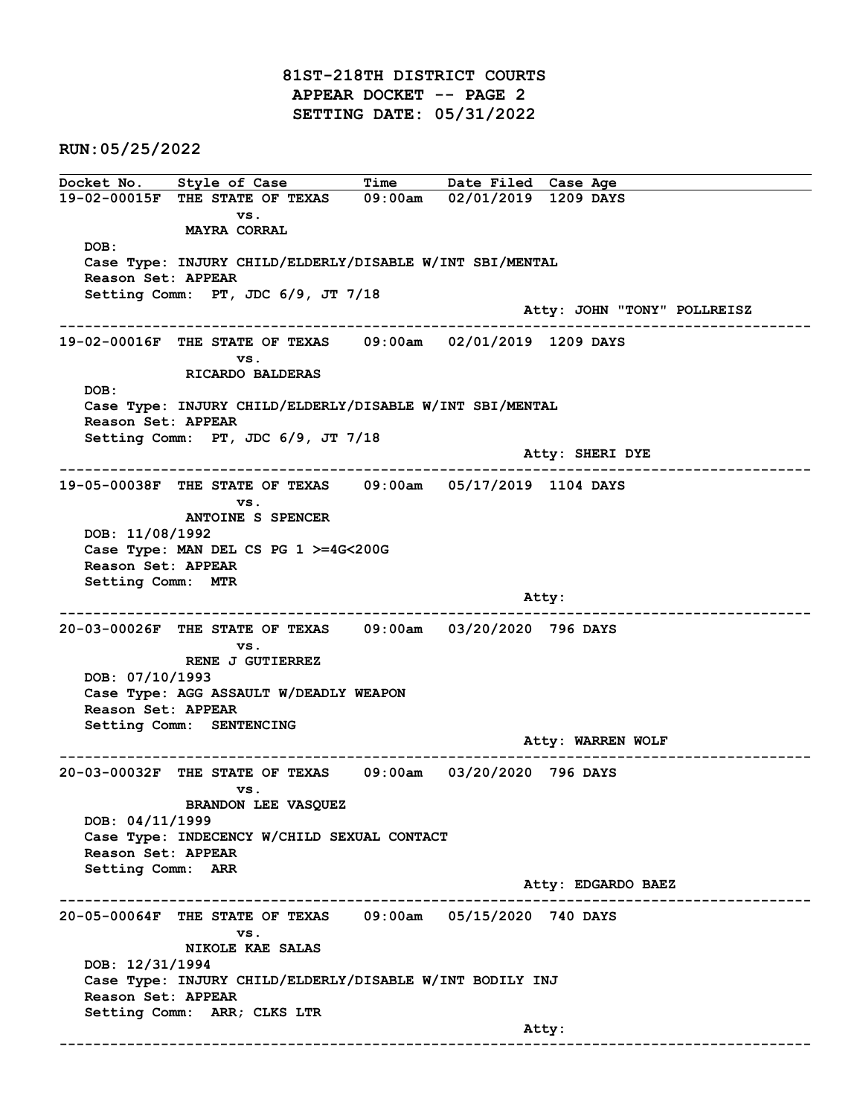81ST-218TH DISTRICT COURTS APPEAR DOCKET -- PAGE 2 SETTING DATE: 05/31/2022

RUN:05/25/2022

Docket No. Style of Case Time Date Filed Case Age 19-02-00015F THE STATE OF TEXAS 09:00am 02/01/2019 1209 DAYS vs. MAYRA CORRAL DOB: Case Type: INJURY CHILD/ELDERLY/DISABLE W/INT SBI/MENTAL Reason Set: APPEAR Setting Comm: PT, JDC 6/9, JT 7/18 Atty: JOHN "TONY" POLLREISZ ------------------------------------------------------------------------------------------------------------------------ 19-02-00016F THE STATE OF TEXAS 09:00am 02/01/2019 1209 DAYS vs. RICARDO BALDERAS DOB: Case Type: INJURY CHILD/ELDERLY/DISABLE W/INT SBI/MENTAL Reason Set: APPEAR Setting Comm: PT, JDC 6/9, JT 7/18 Atty: SHERI DYE ------------------------------------------------------------------------------------------------------------------------ 19-05-00038F THE STATE OF TEXAS 09:00am 05/17/2019 1104 DAYS vs. ANTOINE S SPENCER DOB: 11/08/1992 Case Type: MAN DEL CS PG 1 >=4G<200G Reason Set: APPEAR Setting Comm: MTR and the control of the control of the control of the control of the control of the control of the control of the control of the control of the control of the control of the control of the control of the control of the cont ------------------------------------------------------------------------------------------------------------------------ 20-03-00026F THE STATE OF TEXAS 09:00am 03/20/2020 796 DAYS vs. RENE J GUTIERREZ DOB: 07/10/1993 Case Type: AGG ASSAULT W/DEADLY WEAPON Reason Set: APPEAR Setting Comm: SENTENCING Atty: WARREN WOLF ------------------------------------------------------------------------------------------------------------------------ 20-03-00032F THE STATE OF TEXAS 09:00am 03/20/2020 796 DAYS vs. BRANDON LEE VASQUEZ DOB: 04/11/1999 Case Type: INDECENCY W/CHILD SEXUAL CONTACT Reason Set: APPEAR Setting Comm: ARR Atty: EDGARDO BAEZ ------------------------------------------------------------------------------------------------------------------------ 20-05-00064F THE STATE OF TEXAS 09:00am 05/15/2020 740 DAYS vs. NIKOLE KAE SALAS DOB: 12/31/1994 Case Type: INJURY CHILD/ELDERLY/DISABLE W/INT BODILY INJ Reason Set: APPEAR Setting Comm: ARR; CLKS LTR and the control of the control of the control of the control of the control of the control of the control of the control of the control of the control of the control of the control of the control of the control of the cont ------------------------------------------------------------------------------------------------------------------------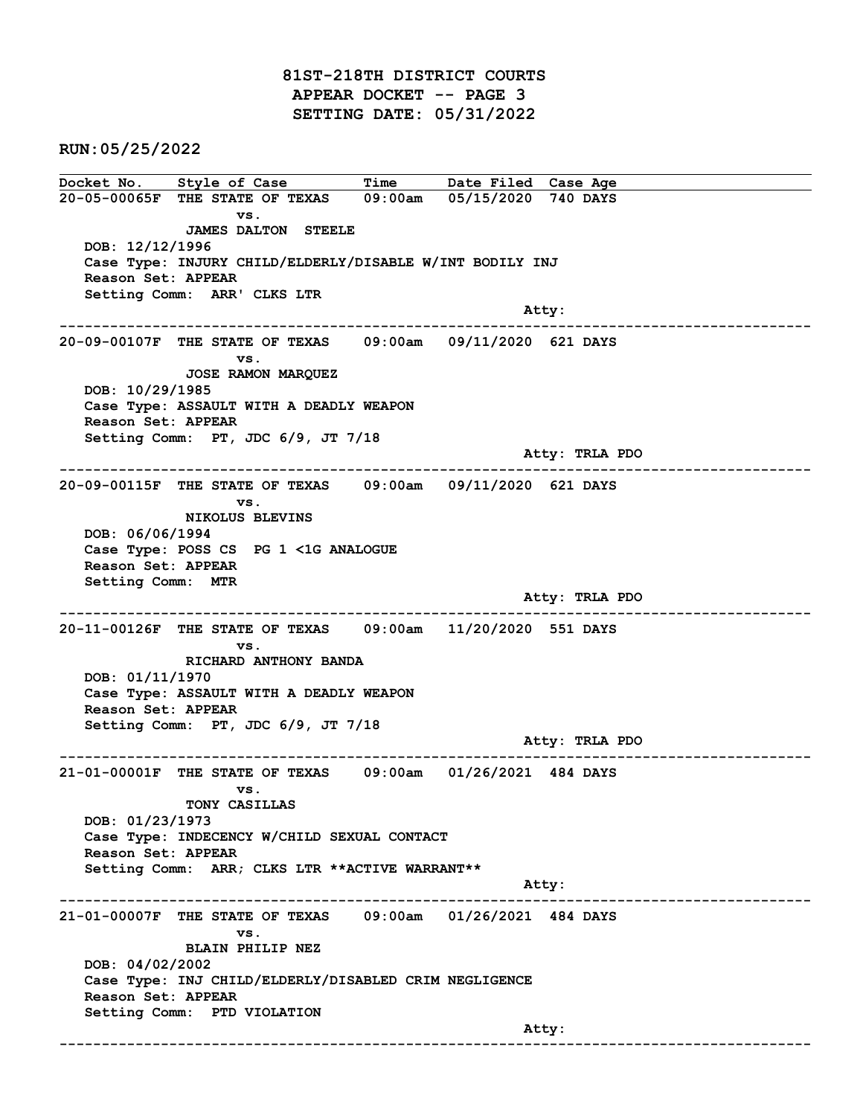81ST-218TH DISTRICT COURTS APPEAR DOCKET -- PAGE 3 SETTING DATE: 05/31/2022

RUN:05/25/2022

Docket No. Style of Case Time Date Filed Case Age 20-05-00065F THE STATE OF TEXAS 09:00am 05/15/2020 740 DAYS vs. JAMES DALTON STEELE DOB: 12/12/1996 Case Type: INJURY CHILD/ELDERLY/DISABLE W/INT BODILY INJ Reason Set: APPEAR Setting Comm: ARR' CLKS LTR and the control of the control of the control of the control of the control of the control of the control of the control of the control of the control of the control of the control of the control of the control of the cont ------------------------------------------------------------------------------------------------------------------------ 20-09-00107F THE STATE OF TEXAS 09:00am 09/11/2020 621 DAYS vs. JOSE RAMON MARQUEZ DOB: 10/29/1985 Case Type: ASSAULT WITH A DEADLY WEAPON Reason Set: APPEAR Setting Comm: PT, JDC 6/9, JT 7/18 Atty: TRLA PDO ------------------------------------------------------------------------------------------------------------------------ 20-09-00115F THE STATE OF TEXAS 09:00am 09/11/2020 621 DAYS vs. NIKOLUS BLEVINS DOB: 06/06/1994 Case Type: POSS CS PG 1 <1G ANALOGUE Reason Set: APPEAR Setting Comm: MTR Atty: TRLA PDO ------------------------------------------------------------------------------------------------------------------------ 20-11-00126F THE STATE OF TEXAS 09:00am 11/20/2020 551 DAYS vs. RICHARD ANTHONY BANDA DOB: 01/11/1970 Case Type: ASSAULT WITH A DEADLY WEAPON Reason Set: APPEAR Setting Comm: PT, JDC 6/9, JT 7/18 Atty: TRLA PDO ------------------------------------------------------------------------------------------------------------------------ 21-01-00001F THE STATE OF TEXAS 09:00am 01/26/2021 484 DAYS vs. TONY CASILLAS DOB: 01/23/1973 Case Type: INDECENCY W/CHILD SEXUAL CONTACT Reason Set: APPEAR Setting Comm: ARR; CLKS LTR \*\*ACTIVE WARRANT\*\* example of the state of the state of the state of the state of the state of the state of the state of the state of the state of the state of the state of the state of the state of the state of the state of the state of the ------------------------------------------------------------------------------------------------------------------------ 21-01-00007F THE STATE OF TEXAS 09:00am 01/26/2021 484 DAYS vs. BLAIN PHILIP NEZ DOB: 04/02/2002 Case Type: INJ CHILD/ELDERLY/DISABLED CRIM NEGLIGENCE Reason Set: APPEAR Setting Comm: PTD VIOLATION and the control of the control of the control of the control of the control of the control of the control of the control of the control of the control of the control of the control of the control of the control of the cont ------------------------------------------------------------------------------------------------------------------------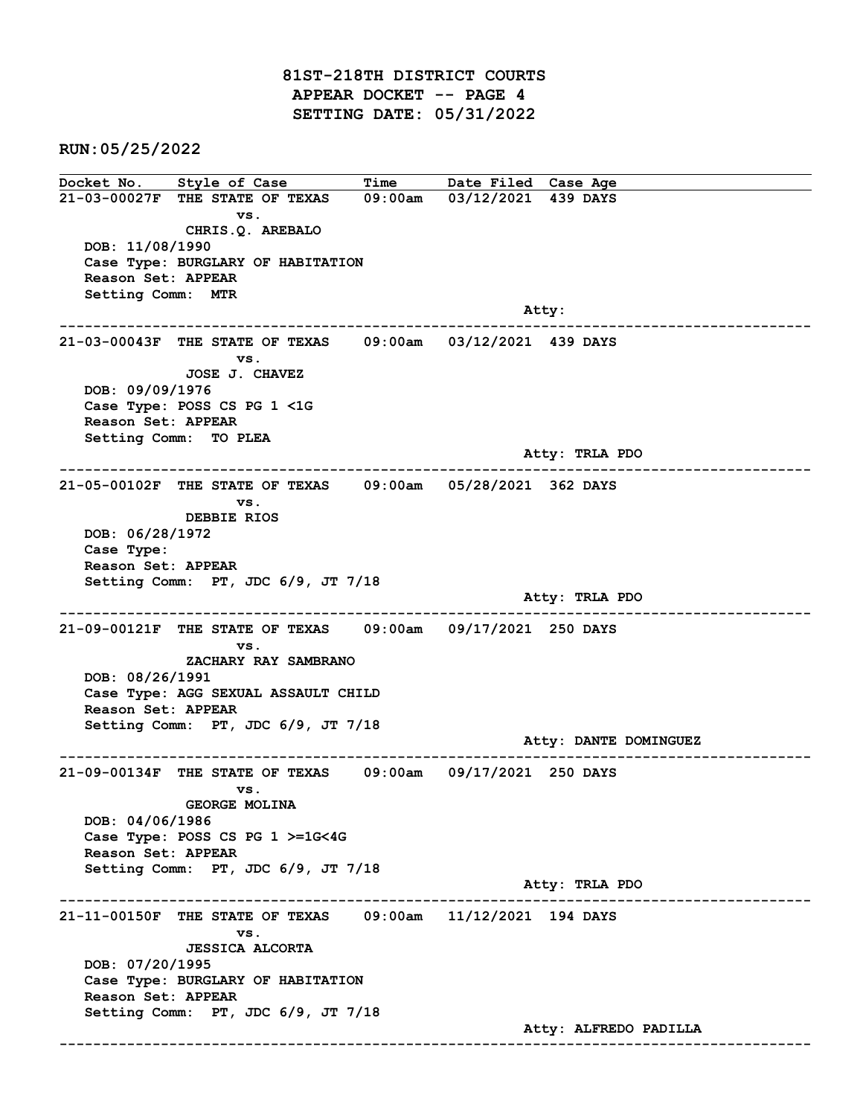81ST-218TH DISTRICT COURTS APPEAR DOCKET -- PAGE 4 SETTING DATE: 05/31/2022

RUN:05/25/2022

Docket No. Style of Case Time Date Filed Case Age 21-03-00027F THE STATE OF TEXAS 09:00am 03/12/2021 439 DAYS vs. CHRIS.Q. AREBALO DOB: 11/08/1990 Case Type: BURGLARY OF HABITATION Reason Set: APPEAR Setting Comm: MTR and the control of the control of the control of the control of the control of the control of the control of the control of the control of the control of the control of the control of the control of the control of the cont ------------------------------------------------------------------------------------------------------------------------ 21-03-00043F THE STATE OF TEXAS 09:00am 03/12/2021 439 DAYS vs. JOSE J. CHAVEZ DOB: 09/09/1976 Case Type: POSS CS PG 1 <1G Reason Set: APPEAR Setting Comm: TO PLEA Atty: TRLA PDO ------------------------------------------------------------------------------------------------------------------------ 21-05-00102F THE STATE OF TEXAS 09:00am 05/28/2021 362 DAYS vs. DEBBIE RIOS DOB: 06/28/1972 Case Type: Reason Set: APPEAR Setting Comm: PT, JDC 6/9, JT 7/18 Atty: TRLA PDO ------------------------------------------------------------------------------------------------------------------------ 21-09-00121F THE STATE OF TEXAS 09:00am 09/17/2021 250 DAYS vs. ZACHARY RAY SAMBRANO DOB: 08/26/1991 Case Type: AGG SEXUAL ASSAULT CHILD Reason Set: APPEAR Setting Comm: PT, JDC 6/9, JT 7/18 Atty: DANTE DOMINGUEZ ------------------------------------------------------------------------------------------------------------------------ 21-09-00134F THE STATE OF TEXAS 09:00am 09/17/2021 250 DAYS vs. GEORGE MOLINA DOB: 04/06/1986 Case Type: POSS CS PG 1 >=1G<4G Reason Set: APPEAR Setting Comm: PT, JDC 6/9, JT 7/18 Atty: TRLA PDO ------------------------------------------------------------------------------------------------------------------------ 21-11-00150F THE STATE OF TEXAS 09:00am 11/12/2021 194 DAYS vs. JESSICA ALCORTA DOB: 07/20/1995 Case Type: BURGLARY OF HABITATION Reason Set: APPEAR Setting Comm: PT, JDC 6/9, JT 7/18 Atty: ALFREDO PADILLA ------------------------------------------------------------------------------------------------------------------------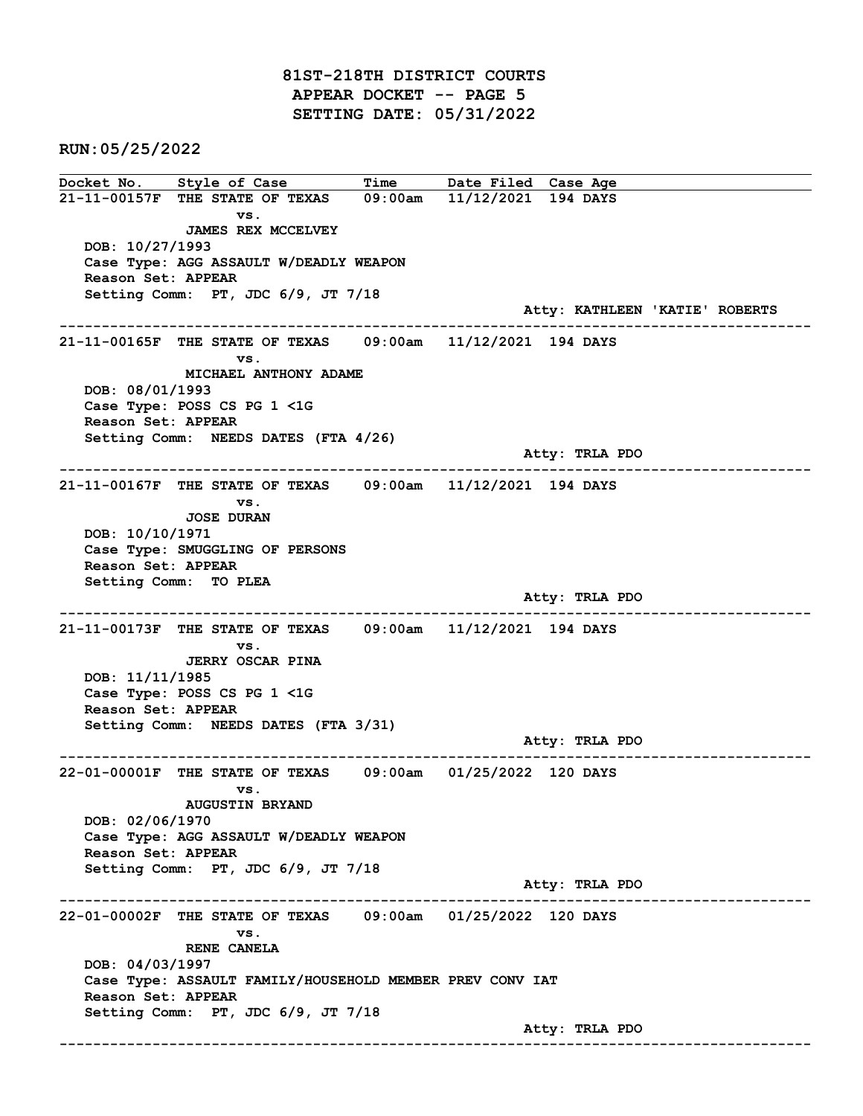81ST-218TH DISTRICT COURTS APPEAR DOCKET -- PAGE 5 SETTING DATE: 05/31/2022

RUN:05/25/2022

Docket No. Style of Case Time Date Filed Case Age 21-11-00157F THE STATE OF TEXAS 09:00am 11/12/2021 194 DAYS vs. JAMES REX MCCELVEY DOB: 10/27/1993 Case Type: AGG ASSAULT W/DEADLY WEAPON Reason Set: APPEAR Setting Comm: PT, JDC 6/9, JT 7/18 Atty: KATHLEEN 'KATIE' ROBERTS ------------------------------------------------------------------------------------------------------------------------ 21-11-00165F THE STATE OF TEXAS 09:00am 11/12/2021 194 DAYS vs. MICHAEL ANTHONY ADAME DOB: 08/01/1993 Case Type: POSS CS PG 1 <1G Reason Set: APPEAR Setting Comm: NEEDS DATES (FTA 4/26) Atty: TRLA PDO ------------------------------------------------------------------------------------------------------------------------ 21-11-00167F THE STATE OF TEXAS 09:00am 11/12/2021 194 DAYS vs. JOSE DURAN DOB: 10/10/1971 Case Type: SMUGGLING OF PERSONS Reason Set: APPEAR Setting Comm: TO PLEA Atty: TRLA PDO ------------------------------------------------------------------------------------------------------------------------ 21-11-00173F THE STATE OF TEXAS 09:00am 11/12/2021 194 DAYS vs. JERRY OSCAR PINA DOB: 11/11/1985 Case Type: POSS CS PG 1 <1G Reason Set: APPEAR Setting Comm: NEEDS DATES (FTA 3/31) Atty: TRLA PDO ------------------------------------------------------------------------------------------------------------------------ 22-01-00001F THE STATE OF TEXAS 09:00am 01/25/2022 120 DAYS vs. AUGUSTIN BRYAND DOB: 02/06/1970 Case Type: AGG ASSAULT W/DEADLY WEAPON Reason Set: APPEAR Setting Comm: PT, JDC 6/9, JT 7/18 Atty: TRLA PDO ------------------------------------------------------------------------------------------------------------------------ 22-01-00002F THE STATE OF TEXAS 09:00am 01/25/2022 120 DAYS vs. RENE CANELA DOB: 04/03/1997 Case Type: ASSAULT FAMILY/HOUSEHOLD MEMBER PREV CONV IAT Reason Set: APPEAR Setting Comm: PT, JDC 6/9, JT 7/18 Atty: TRLA PDO ------------------------------------------------------------------------------------------------------------------------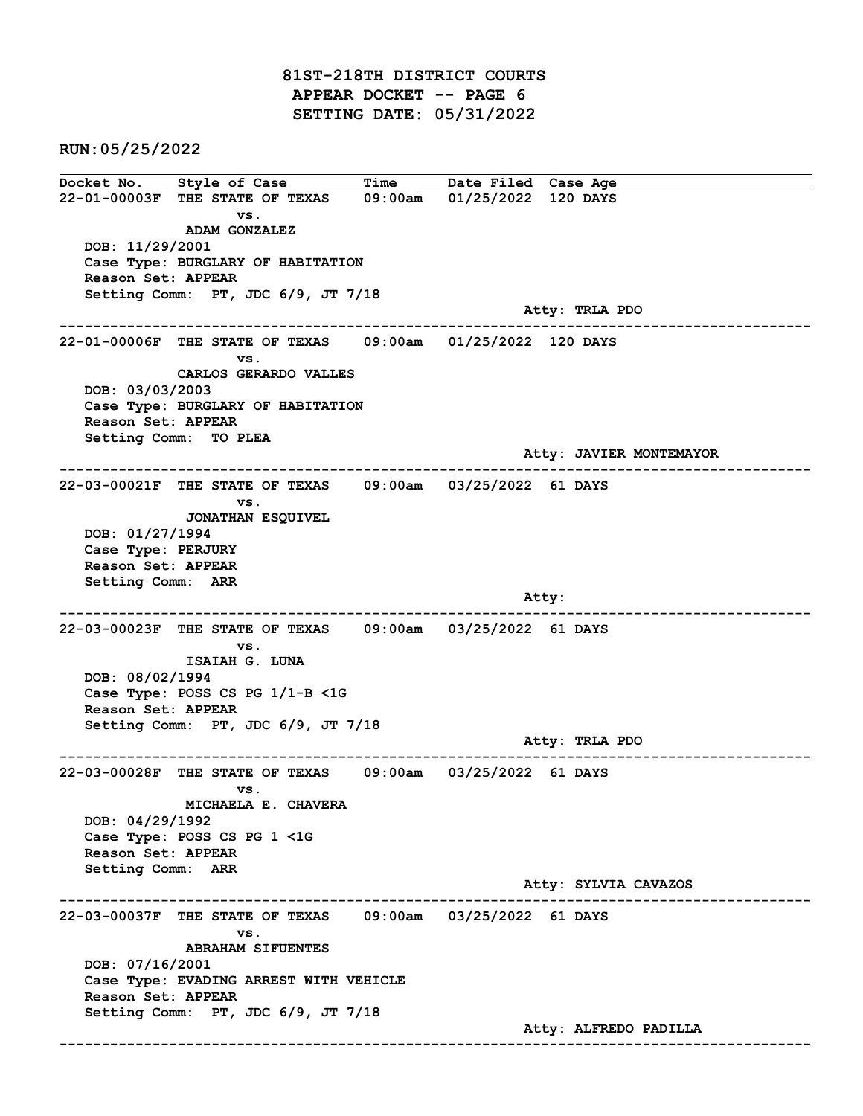81ST-218TH DISTRICT COURTS APPEAR DOCKET -- PAGE 6 SETTING DATE: 05/31/2022

RUN:05/25/2022

Docket No. Style of Case Time Date Filed Case Age 22-01-00003F THE STATE OF TEXAS 09:00am 01/25/2022 120 DAYS vs. ADAM GONZALEZ DOB: 11/29/2001 Case Type: BURGLARY OF HABITATION Reason Set: APPEAR Setting Comm: PT, JDC 6/9, JT 7/18 Atty: TRLA PDO ------------------------------------------------------------------------------------------------------------------------ 22-01-00006F THE STATE OF TEXAS 09:00am 01/25/2022 120 DAYS vs. CARLOS GERARDO VALLES DOB: 03/03/2003 Case Type: BURGLARY OF HABITATION Reason Set: APPEAR Setting Comm: TO PLEA Atty: JAVIER MONTEMAYOR ------------------------------------------------------------------------------------------------------------------------ 22-03-00021F THE STATE OF TEXAS 09:00am 03/25/2022 61 DAYS vs. JONATHAN ESQUIVEL DOB: 01/27/1994 Case Type: PERJURY Reason Set: APPEAR Setting Comm: ARR and the control of the control of the control of the control of the control of the control of the control of the control of the control of the control of the control of the control of the control of the control of the cont ------------------------------------------------------------------------------------------------------------------------ 22-03-00023F THE STATE OF TEXAS 09:00am 03/25/2022 61 DAYS vs. ISAIAH G. LUNA DOB: 08/02/1994 Case Type: POSS CS PG 1/1-B <1G Reason Set: APPEAR Setting Comm: PT, JDC 6/9, JT 7/18 Atty: TRLA PDO ------------------------------------------------------------------------------------------------------------------------ 22-03-00028F THE STATE OF TEXAS 09:00am 03/25/2022 61 DAYS vs. MICHAELA E. CHAVERA DOB: 04/29/1992 Case Type: POSS CS PG 1 <1G Reason Set: APPEAR Setting Comm: ARR Atty: SYLVIA CAVAZOS ------------------------------------------------------------------------------------------------------------------------ 22-03-00037F THE STATE OF TEXAS 09:00am 03/25/2022 61 DAYS vs. ABRAHAM SIFUENTES DOB: 07/16/2001 Case Type: EVADING ARREST WITH VEHICLE Reason Set: APPEAR Setting Comm: PT, JDC 6/9, JT 7/18 Atty: ALFREDO PADILLA ------------------------------------------------------------------------------------------------------------------------